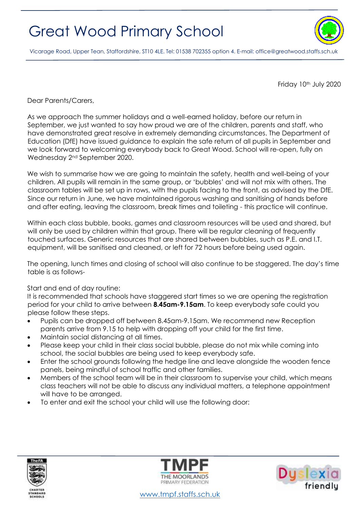## Great Wood Primary School



Vicarage Road, Upper Tean, Staffordshire, ST10 4LE. Tel: 01538 702355 option 4. E-mail[: office@greatwood.staffs.sch.uk](mailto:office@greatwood.staffs.sch.uk)

Friday 10th July 2020

Dear Parents/Carers,

As we approach the summer holidays and a well-earned holiday, before our return in September, we just wanted to say how proud we are of the children, parents and staff, who have demonstrated great resolve in extremely demanding circumstances. The Department of Education (DfE) have issued guidance to explain the safe return of all pupils in September and we look forward to welcoming everybody back to Great Wood. School will re-open, fully on Wednesday 2nd September 2020.

We wish to summarise how we are going to maintain the safety, health and well-being of your children. All pupils will remain in the same group, or 'bubbles' and will not mix with others. The classroom tables will be set up in rows, with the pupils facing to the front, as advised by the DfE. Since our return in June, we have maintained rigorous washing and sanitising of hands before and after eating, leaving the classroom, break times and toileting - this practice will continue.

Within each class bubble, books, games and classroom resources will be used and shared, but will only be used by children within that group. There will be regular cleaning of frequently touched surfaces. Generic resources that are shared between bubbles, such as P.E. and I.T. equipment, will be sanitised and cleaned, or left for 72 hours before being used again.

The opening, lunch times and closing of school will also continue to be staggered. The day's time table is as follows-

## Start and end of day routine:

It is recommended that schools have staggered start times so we are opening the registration period for your child to arrive between **8.45am-9.15am**. To keep everybody safe could you please follow these steps.

- Pupils can be dropped off between 8.45am-9.15am. We recommend new Reception parents arrive from 9.15 to help with dropping off your child for the first time.
- Maintain social distancing at all times.
- Please keep your child in their class social bubble, please do not mix while coming into school, the social bubbles are being used to keep everybody safe.
- Enter the school grounds following the hedge line and leave alongside the wooden fence panels, being mindful of school traffic and other families.
- Members of the school team will be in their classroom to supervise your child, which means class teachers will not be able to discuss any individual matters, a telephone appointment will have to be arranged.
- To enter and exit the school your child will use the following door:





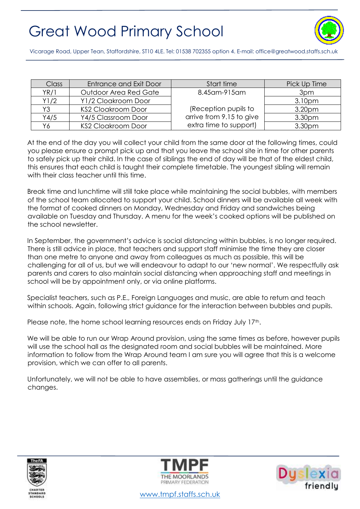## Great Wood Primary School



Vicarage Road, Upper Tean, Staffordshire, ST10 4LE. Tel: 01538 702355 option 4. E-mail[: office@greatwood.staffs.sch.uk](mailto:office@greatwood.staffs.sch.uk)

| <b>Class</b> | <b>Entrance and Exit Door</b> | Start time               | Pick Up Time       |
|--------------|-------------------------------|--------------------------|--------------------|
| YR/1         | Outdoor Area Red Gate         | 8.45 am-915 am           | 3pm                |
| Y1/2         | Y1/2 Cloakroom Door           |                          | 3.10 <sub>pm</sub> |
| Y3           | <b>KS2 Cloakroom Door</b>     | (Reception pupils to     | 3.20 <sub>pm</sub> |
| Y4/5         | Y4/5 Classroom Door           | arrive from 9.15 to give | 3.30pm             |
| Υ6           | <b>KS2 Cloakroom Door</b>     | extra time to support)   | 3.30pm             |

At the end of the day you will collect your child from the same door at the following times, could you please ensure a prompt pick up and that you leave the school site in time for other parents to safely pick up their child. In the case of siblings the end of day will be that of the eldest child, this ensures that each child is taught their complete timetable. The youngest sibling will remain with their class teacher until this time.

Break time and lunchtime will still take place while maintaining the social bubbles, with members of the school team allocated to support your child. School dinners will be available all week with the format of cooked dinners on Monday, Wednesday and Friday and sandwiches being available on Tuesday and Thursday. A menu for the week's cooked options will be published on the school newsletter.

In September, the government's advice is social distancing within bubbles, is no longer required. There is still advice in place, that teachers and support staff minimise the time they are closer than one metre to anyone and away from colleagues as much as possible, this will be challenging for all of us, but we will endeavour to adapt to our 'new normal'. We respectfully ask parents and carers to also maintain social distancing when approaching staff and meetings in school will be by appointment only, or via online platforms.

Specialist teachers, such as P.E., Foreign Languages and music, are able to return and teach within schools. Again, following strict guidance for the interaction between bubbles and pupils.

Please note, the home school learning resources ends on Friday July 17th.

We will be able to run our Wrap Around provision, using the same times as before, however pupils will use the school hall as the designated room and social bubbles will be maintained. More information to follow from the Wrap Around team I am sure you will agree that this is a welcome provision, which we can offer to all parents.

Unfortunately, we will not be able to have assemblies, or mass gatherings until the guidance changes.







[www.tmpf.staffs.sch.uk](http://www.tmpf.staffs.sch.uk/)